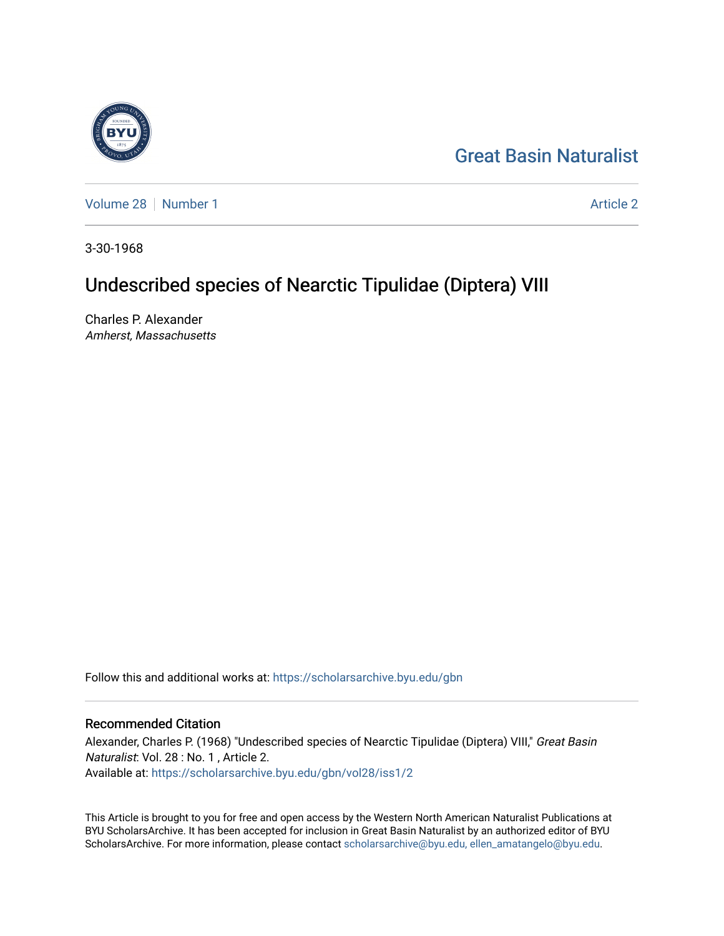# [Great Basin Naturalist](https://scholarsarchive.byu.edu/gbn)

[Volume 28](https://scholarsarchive.byu.edu/gbn/vol28) [Number 1](https://scholarsarchive.byu.edu/gbn/vol28/iss1) [Article 2](https://scholarsarchive.byu.edu/gbn/vol28/iss1/2) Article 2 Article 2 Article 2 Article 2 Article 2 Article 2

3-30-1968

# Undescribed species of Nearctic Tipulidae (Diptera) VIII

Charles P. Alexander Amherst, Massachusetts

Follow this and additional works at: [https://scholarsarchive.byu.edu/gbn](https://scholarsarchive.byu.edu/gbn?utm_source=scholarsarchive.byu.edu%2Fgbn%2Fvol28%2Fiss1%2F2&utm_medium=PDF&utm_campaign=PDFCoverPages) 

# Recommended Citation

Alexander, Charles P. (1968) "Undescribed species of Nearctic Tipulidae (Diptera) VIII," Great Basin Naturalist: Vol. 28 : No. 1 , Article 2. Available at: [https://scholarsarchive.byu.edu/gbn/vol28/iss1/2](https://scholarsarchive.byu.edu/gbn/vol28/iss1/2?utm_source=scholarsarchive.byu.edu%2Fgbn%2Fvol28%2Fiss1%2F2&utm_medium=PDF&utm_campaign=PDFCoverPages)

This Article is brought to you for free and open access by the Western North American Naturalist Publications at BYU ScholarsArchive. It has been accepted for inclusion in Great Basin Naturalist by an authorized editor of BYU ScholarsArchive. For more information, please contact [scholarsarchive@byu.edu, ellen\\_amatangelo@byu.edu.](mailto:scholarsarchive@byu.edu,%20ellen_amatangelo@byu.edu)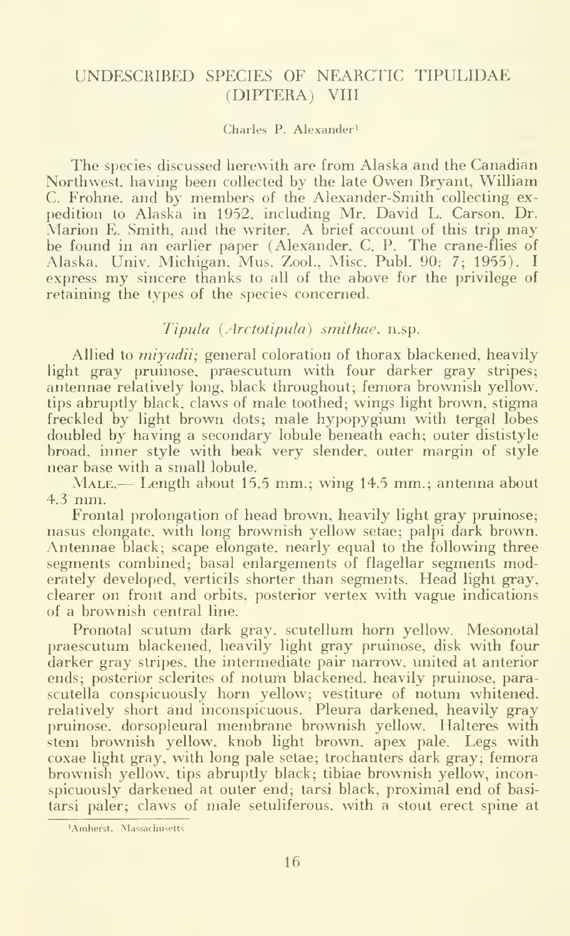# UNDESCRIBED SPECIES OF NEARCTIC TIPULIDAE (DIPTERA) VIII

#### Charles P. Alexander^

The species discussed herewith are from Alaska and the Canadian Northwest, having been collected by the late Owen Bryant, William C. Frohne, and by members of the Alexander-Smith collecting ex pedition to Alaska in 1952, including Mr. David L. Carson, Dr. Marion E. Smith, and the writer. A brief account of this trip may be found in an earlier paper (Alexander, C. P. The crane-flies of Alaska. Univ. Michigan. Mus. Zool., Misc. Publ. 90: 7; 1955). <sup>I</sup> express my sincere thanks to all of the above for the privilege of retaining the types of the species concerned.

### Tipula {Arctotipula) smithae, n.sp.

Allied to *miyadii*; general coloration of thorax blackened, heavily light gray pruinose, praescutum with four darker gray stripes; antennae relatively long, black throughout; femora brownish yellow, tips abruptly black, claws of male toothed; wings light brown, stigma freckled by light brown dots; male hypopygium with tergal lobes doubled by having a secondary lobule beneath each; outer dististyle broad, inner style with beak very slender, outer margin of style near base with a small lobule.

MALE.— Length about 15.5 mm.; wing 14.5 mm.; antenna about 4.3 mm.

Frontal prolongation of head brown, heavily light gray pruinose; nasus elongate, with long brownish yellow setae; palpi dark brown. Antennae black; scape elongate, nearly equal to the following three segments combined; basal enlargements of flagellar segments moderately developed, verticils shorter than segments. Head light gray, clearer on front and orbits, posterior vertex with vague indications of a brownish central line.

Pronotal scutum dark gray, scutellum horn yellow. Mesonotal praescutum blackened, heavily light gray pruinose, disk with four darker gray stripes, the intermediate pair narrow, united at anterior ends; posterior sclerites of notum blackened, heavily pruinose, parascutella conspicuously horn yellow; vestiture of notum whitened, relatively short and inconspicuous. Pleura darkened, heavily gray pruinose, dorsopleural membrane brownish yellow. Halteres with stem brownish yellow, knob light brown, apex pale. Legs with coxae light gray, with long pale setae; trochanters dark gray; femora brownish yellow, tips abruptly black; tibiae brownish yellow, inconspicuously darkened at outer end; tarsi black, proximal end of basitarsi paler; claws of male setuliferous. with a stout erect spine at

<sup>&#</sup>x27;Amherst, Massachusetts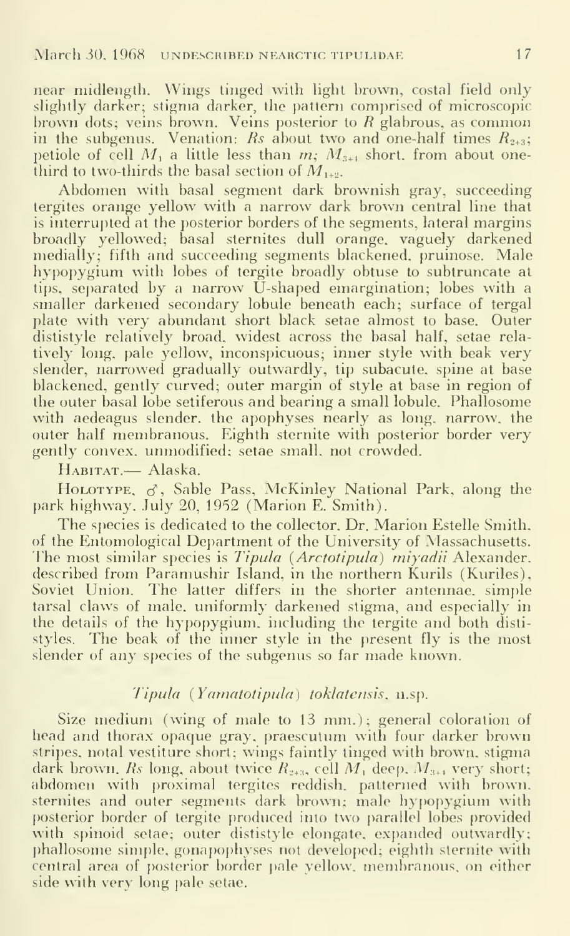near midlength. Wings tinged with light brown, costal field only slightly darker; stigma darker, the pattern comprised of microscopic brown dots; veins brown. Veins posterior to  $R$  glabrous, as common in the subgenus. Venation: Rs about two and one-half times  $R_{2+3}$ ; petiole of cell  $M_1$  a little less than  $m$ ;  $M_{3+1}$  short, from about onethird to two-thirds the basal section of  $M_{1+2}$ .

Abdomen with basal segment dark brownish gray, succeeding tergites orange yellow with a narrow dark brown central line that is interrupted at the posterior borders of the segments, lateral margins broadly yellowed; basal sternites dull orange, vaguely darkened medially; fifth and succeeding segments blackened, pruinose. Male hypopygium with lobes of tergite broadly obtuse to subtruncate at tips, separated by a narrow U-shaped emargination; lobes with a smaller darkened secondary lobule beneath each; surface of tergal plate with very abundant short black setae almost to base. Outer dististyle relatively broad, widest across the basal half, setae rela tively long, pale yellow, inconspicuous; inner style with beak very slender, narrowed gradually outwardly, tip subacute, spine at base blackened, gently curved; outer margin of style at base in region of the outer basal lobe setiferous and bearing a small lobule. Phallosome with aedeagus slender, the apophyses nearly as long, narrow, the outer half membranous. Eighth sternite with posterior border very gently convex, unmodified; setae small, not crowded.

Habitat.— Alaska.

HOLOTYPE,  $\sigma$ , Sable Pass, McKinley National Park, along the park highway. July 20, 1952 (Marion E. Smith).

The species is dedicated to the collector. Dr. Marion Estelle Smith, of the Entomological Department of the University of Massachusetts. The most similar species is *Tipula (Arctotipula) miyadii* Alexander, described from Paramushir Island, in the northern Kurils (Kuriles), Soviet Union. The latter differs in the shorter antennae, simple tarsal claws of male, uniformly darkened stigma, and especially in the details of the hypopygium. including the tergite and both disti styles. The beak of the inner style in the present fly is the most slender of any species of the subgenus so far made known.

#### Tipula (Yamatotipula) toklatensis, n.sp.

Size medium (wing of male to 13 mm.); general coloration of head and thorax opaque gray, praescutum with four darker brown stripes, notal vestiture short; wings faintly tinged with brown, stigma dark brown. *Rs* long, about twice  $R_{2+3}$ , cell  $M_1$  deep.  $M_{3+1}$  very short; abdomen with proximal tergites reddish, patterned with brown, sternites and outer segments dark brown; male hypopygium with posterior border of tergite produced into two parallel lobes provided with spinoid setae; outer dististyle elongate, expanded outwardly; phallosome simple, gonapophyses not developed; eighth sternite with central area of posterior border pale yellow, membranous, on either side with very long pale setae.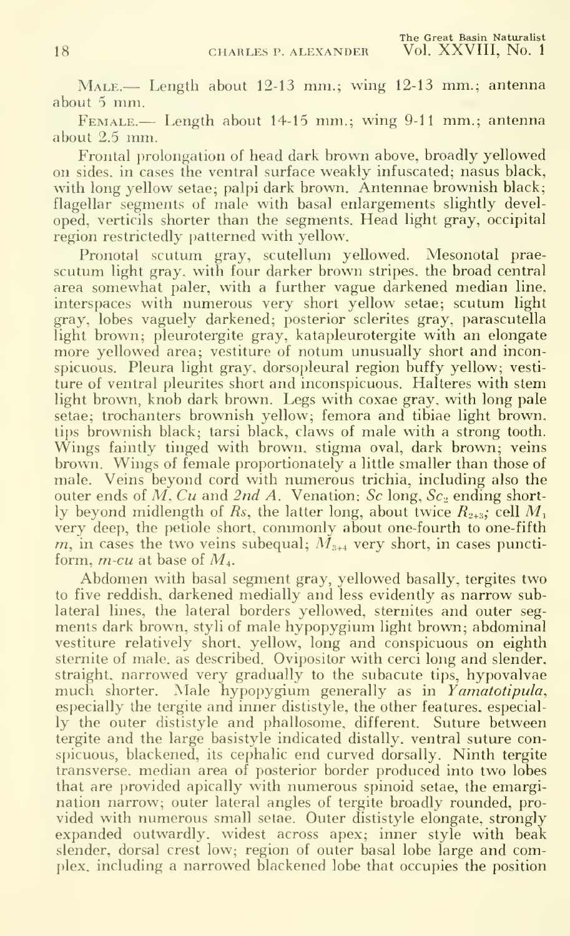MALE.— Length about 12-13 mm.; wing 12-13 mm.; antenna about <sup>5</sup> mm.

FEMALE.— Length about 14-15 mm.; wing 9-11 mm.; antenna about 2.5 mm.

Frontal prolongation of head dark brown above, broadly yellowed on sides, in cases the ventral surface weakly infuscated; nasus black, with long yellow setae; palpi dark brown. Antennae brownish black; flagellar segments of male with basal enlargements slightly developed, verticils shorter than the segments. Head light gray, occipital region restrictedly patterned with yellow.

Pronotal scutum gray, scutellum yellowed. Mesonotal prae scutum light gray, with four darker brown stripes, the broad central area somewhat paler, with a further vague darkened median line, interspaces with numerous very short yellow setae; scutum light gray, lobes vaguely darkened; posterior sclerites gray, parascutella light brown; pleurotergite gray, katapleurotergite with an elongate more yellowed area; vestiture of notum unusually short and inconspicuous. Pleura light gray, dorsopleural region buffy yellow; vesti ture of ventral pleurites short and inconspicuous. Halteres with stem light brown, knob dark brown. Legs with coxae gray, with long pale setae; trochanters brownish yellow; femora and tibiae light brown, tips brownish black; tarsi black, claws of male with a strong tooth. Wings faintly tinged with brown, stigma oval, dark brown; veins brown. Wings of female proportionately a little smaller than those of male. Veins beyond cord with numerous trichia, including also the outer ends of M, Cu and 2nd A. Venation: Sc long,  $Sc<sub>2</sub>$  ending shortly beyond midlength of Rs, the latter long, about twice  $R_{2+3}$ , cell  $M_1$ very deep, the petiole short, commonly about one-fourth to one-fifth m, in cases the two veins subequal;  $\tilde{M}_{3+4}$  very short, in cases punctiform, *m-cu* at base of  $M<sub>4</sub>$ .

Abdomen with basal segment gray, yellowed basally, tergites two to five reddish, darkened medially and less evidently as narrow sublateral lines, the lateral borders yellowed, sternites and outer segments dark brown, styli of male hypopygium light brown; abdominal vestiture relatively short, yellow, long and conspicuous on eighth sternite of male, as described. Ovipositor with cerci long and slender, straight, narrowed very gradually to the subacute tips, hypovalvae much shorter. Male hypopygium generally as in Yamatotipula, especially the tergite and inner dististyle, the other features, especially the outer dististyle and phallosome, different. Suture between tergite and the large basistyle indicated distally. ventral suture conspicuous, blackened, its cephalic end curved dorsally. Ninth tergite transverse, median area of posterior border produced into two lobes that are provided apically with numerous spinoid setae, the emargination narrow; outer lateral angles of tergite broadly rounded, pro vided with numerous small setae. Outer dististyle elongate, strongly expanded outwardly, widest across apex; inner style with beak slender, dorsal crest low; region of outer basal lobe large and complex, including a narrowed blackened lobe that occupies the position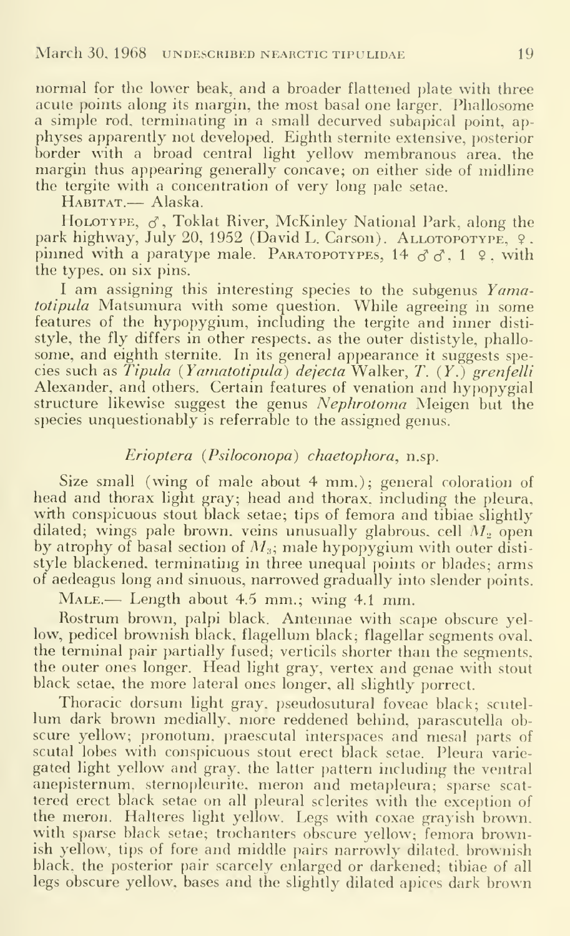normal for the lower beak, and a broader flattened plate with three acute points along its margin, the most basal one larger. Phallosome a simple rod. terminating in a small decurved subapical point, ap physes apparently not developed. Eighth sternite extensive, posterior border with a broad central light yellow membranous area, the margin thus appearing generally concave; on either side of midline the tergite with a concentration of very long pale setae.

HABITAT.— Alaska.

HOLOTYPE,  $\sigma$ , Toklat River, McKinley National Park, along the park highway, July 20, 1952 (David L. Carson). ALLOTOPOTYPE, 9. pinned with a paratype male. PARATOPOTYPES, 14  $\sigma \sigma$ , 1  $\varphi$ , with the types, on six pins.

I am assigning this interesting species to the subgenus Yamatotipula Matsumura with some question. While agreeing in some features of the hypopygium, including the tergite and inner disti style, the fly differs in other respects, as the outer dististyle, phallo some, and eighth sternite. In its general appearance it suggests species such as  $Tipula$  (Yamatotipula) dejecta Walker, T.  $(Y<sub>i</sub>)$  grenfelli Alexander, and others. Certain features of venation and hypopygial structure likewise suggest the genus Nephrotoma Meigen but the species unquestionably is referrable to the assigned genus.

### Erioptera (Psiloconopa) chaetophora, n.sp.

Size small (wing of male about 4 mm.); general coloration of head and thorax light gray; head and thorax, including the pleura, with conspicuous stout black setae; tips of femora and tibiae slightly dilated; wings pale brown, veins unusually glabrous, cell  $M<sub>2</sub>$  open by atrophy of basal section of  $M_3$ ; male hypopygium with outer dististyle blackened, terminating in three unequal points or blades; arms of aedeagus long and sinuous, narrowed gradually into slender points.

MALE.— Length about 4.5 mm.; wing 4.1 mm.

Rostrum brown, palpi black. Antennae with scape obscure yellow, pedicel brownish black, flagellum black; flagellar segments oval, the terminal pair partially fused; verticils shorter than the segments, the outer ones longer. Head light gray, vertex and genae with stout black setae, the more lateral ones longer, all slightly porrect.

Thoracic dorsum light gray, pseudosutural foveae black; scutel lum dark brown medially, more reddened behind, parascutella ob scure yellow; pronotum. praescutal interspaces and mesal parts of scutal lobes with conspicuous stout erect black setae. Pleura variegated light yellow and gray, the latter pattern including the ventral anepisternum, sternopleurite, meron and metapleura; sparse scattered erect black setae on all pleural sclerites with the exception of the meron. Halteres light yellow. Legs with coxae grayish brown, with sparse black setae; trochanters obscure yellow; femora brownish yellow, tips of fore and middle pairs narrowly dilated, brownish black, the posterior pair scarcely enlarged or darkened; tibiae of all legs obscure yellow, bases and the slightly dilated apices dark brown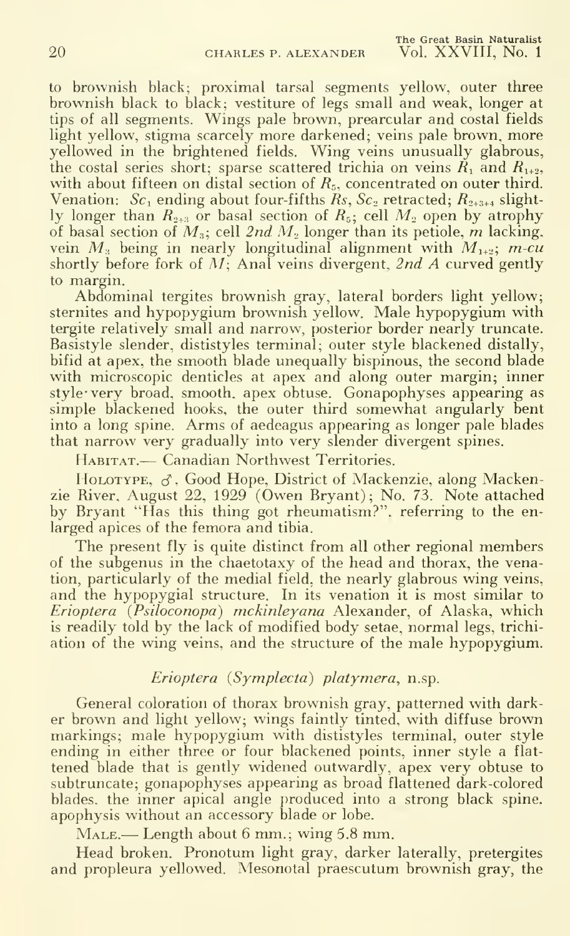to brownish black; proximal tarsal segments yellow, outer three brownish black to black; vestiture of legs small and weak, longer at tips of all segments. Wings pale brown, prearcular and costal fields light yellow, stigma scarcely more darkened; veins pale brown, more yellowed in the brightened fields. Wing veins unusually glabrous, the costal series short; sparse scattered trichia on veins  $\tilde{R}_1$  and  $R_{1+2}$ , with about fifteen on distal section of  $R_5$ , concentrated on outer third. Venation:  $Sc_1$  ending about four-fifths  $\widetilde{R}_s$ ,  $Sc_2$  retracted;  $R_{2+3+4}$  slightly longer than  $R_{2+3}$  or basal section of  $R_5$ ; cell  $M_2$  open by atrophy of basal section of  $M_3$ ; cell 2nd  $M_2$  longer than its petiole, m lacking, vein  $M_i$  being in nearly longitudinal alignment with  $M_{1+2}$ ; m-cu shortly before fork of  $M$ ; Anal veins divergent, 2nd A curved gently to margin.

Abdominal tergites brownish gray, lateral borders light yellow; sternites and hypopygium brownish yellow. Male hypopygium with tergite relatively small and narrow, posterior border nearly truncate. Basistyle slender, dististyles terminal; outer style blackened distally, bifid at apex, the smooth blade unequally bispinous, the second blade with microscopic denticles at apex and along outer margin; inner style' very broad, smooth, apex obtuse. Gonapophyses appearing as simple blackened hooks, the outer third somewhat angularly bent into a long spine. Arms of aedeagus appearing as longer pale blades that narrow very gradually into very slender divergent spines.

Habitat.— Canadian Northwest Territories.

HOLOTYPE,  $\sigma$ , Good Hope, District of Mackenzie, along Mackenzie River, August 22, 1929 (Owen Bryant); No. 73. Note attached by Bryant "Has this thing got rheumatism?", referring to the en larged apices of the femora and tibia.

The present fly is quite distinct from all other regional members of the subgenus in the chaetotaxy of the head and thorax, the venation, particularly of the medial field, the nearly glabrous wing veins, and the hypopygial structure. In its venation it is most similar to Erioptera (Psiloconopa) mckinleyana Alexander, of Alaska, which is readily told by the lack of modified body setae, normal legs, trichi ation of the wing veins, and the structure of the male hypopygium.

## Erioptera {Symplecta) platymera, n.sp.

General coloration of thorax brownish gray, patterned with darker brown and light yellow; wings faintly tinted, with diffuse brown markings; male hypopygium with dististyles terminal, outer style ending in either three or four blackened points, inner style a flat tened blade that is gently widened outwardly, apex very obtuse to subtruncate; gonapophyses appearing as broad flattened dark-colored blades, the inner apical angle produced into a strong black spine, apophysis without an accessory blade or lobe.

Male.— Length about <sup>6</sup> mm.; wing 5.8 mm.

Head broken. Pronotum light gray, darker laterally, pretergites and propleura yellowed. Mesonotal praescutum brownish gray, the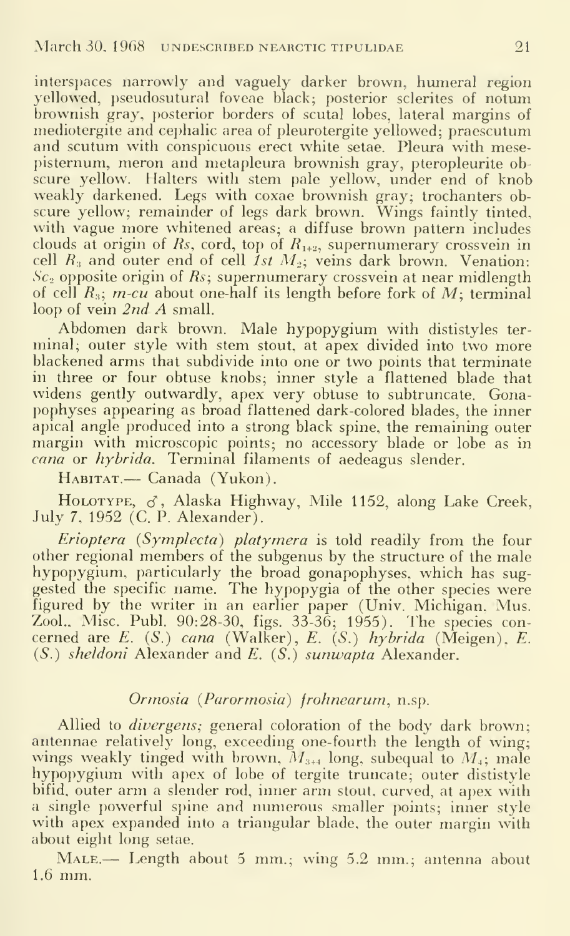interspaces narrowly and vaguely darker brown, humeral region yellowed, pseudosutural foveae black; posterior sclerites of notum brownish gray, posterior borders of scutal lobes, lateral margins of mediotergite and cephalic area of pleurotergite yellowed; praescutum and scutum with conspicuous erect white setae. Pleura with mesepisternum, meron and metapleura brownish gray, pteropleurite ob scure yellow. Halters with stem pale yellow, under end of knob weakly darkened. Legs with coxae brownish gray; trochanters ob scure yellow; remainder of legs dark brown. Wings faintly tinted, with vague more whitened areas; a diffuse brown pattern includes clouds at origin of Rs, cord, top of  $R_{1+2}$ , supernumerary crossvein in cell  $R_3$  and outer end of cell *1st*  $M_2$ ; veins dark brown. Venation:  $Sc<sub>2</sub>$  opposite origin of Rs; supernumerary crossvein at near midlength of cell  $R_3$ ; m-cu about one-half its length before fork of M; terminal loop of vein 2nd A small.

Abdomen dark brown. Male hypopygium with dististyles ter minal; outer style with stem stout, at apex divided into two more blackened arms that subdivide into one or two points that terminate in three or four obtuse knobs; inner style a flattened blade that widens gently outwardly, apex very obtuse to subtruncate. Gonapophyses appearing as broad flattened dark-colored blades, the inner apical angle produced into a strong black spine, the remaining outer margin with microscopic points; no accessory blade or lobe as in  $\alpha$  or  $hybrida$ . Terminal filaments of aedeagus slender.

HABITAT.— Canada (Yukon).

HOLOTYPE,  $\sigma$ , Alaska Highway, Mile 1152, along Lake Creek, July 7, 1952 (C. P. Alexander).

Erioptera (Symplecta) platymera is told readily from the four other regional members of the subgenus by the structure of the male hypopygium, particularly the broad gonapophyses, which has sug gested the specific name. The hypopygia of the other species were figured by the writer in an earlier paper (Univ. Michigan. Mus. Zool.. Misc. Publ. 90:28-30, figs. 33-36; 1955). The species con cerned are E.  $(S)$  cana (Walker), E.  $(S)$  hybrida (Meigen), E. (S.) sheldoni Alexander and E. {S.) sunwapta Alexander.

# Ormosia {Parormosia) frohnearum, n.sp.

Allied to *divergens*; general coloration of the body dark brown; antennae relatively long, exceeding one-fourth the length of wing; wings weakly tinged with brown,  $M_{3+4}$  long, subequal to  $M_4$ ; male hypopygium with apex of lobe of tergite truncate; outer dististyle bifid, outer arm <sup>a</sup> slender rod, inner arm stout, curved, at apex with a single powerful spine and numerous smaller points; inner style with apex expanded into <sup>a</sup> triangular blade, the outer margin with about eight long setae.

MALE.— Length about 5 mm.; wing 5.2 mm.; antenna about 1.6 mm.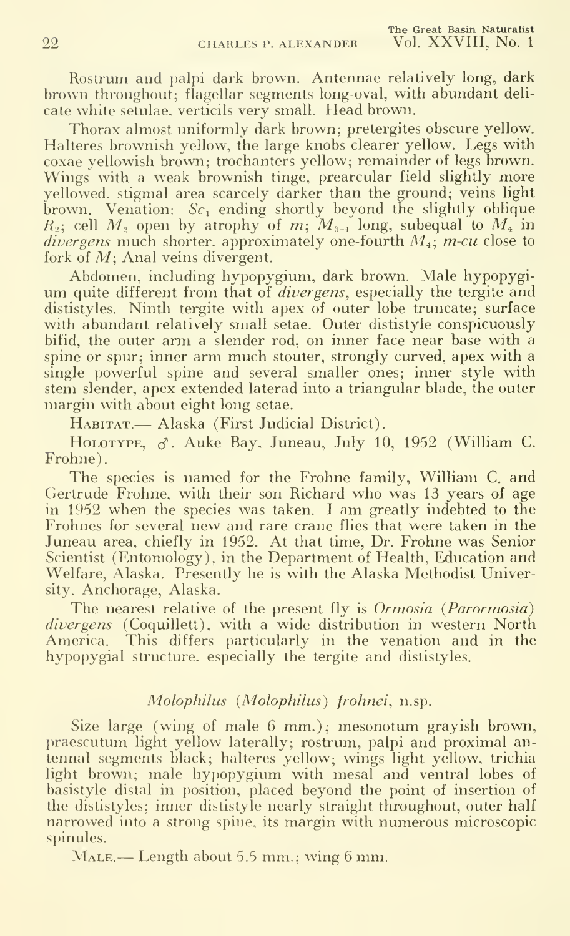Rostrum and palpi dark brown. Antennae relatively long, dark brown throughout; flagellar segments long-oval, with abundant deli cate white setulae, verticils very small. Head brown.

Thorax almost uniformly dark brown; pretergites obscure yellow. Halteres brownish yellow, the large knobs clearer yellow. Legs with coxae yellowish brown; trochanters yellow; remainder of legs brown. Wings with <sup>a</sup> weak brownish tinge, prearcular field slightly more yellowed, stigmal area scarcely darker than the ground; veins light brown. Venation:  $Sc_1$  ending shortly beyond the slightly oblique  $R_2$ ; cell  $M_2$  open by atrophy of m;  $M_{3+4}$  long, subequal to  $M_4$  in *divergens* much shorter, approximately one-fourth  $M_i$ ; *m-cu* close to fork of M; Anal veins divergent.

Abdomen, including hypopygium, dark brown. Male hypopygium quite different from that of divergens, especially the tergite and dististyles. Ninth tergite with apex of outer lobe truncate; surface with abundant relatively small setae. Outer dististyle conspicuously bifid, the outer arm a slender rod, on inner face near base with a spine or spur; inner arm much stouter, strongly curved, apex with a single powerful spine and several smaller ones; inner style with stem slender, apex extended laterad into a triangular blade, the outer margin with about eight long setae.

HABITAT.— Alaska (First Judicial District).

HOLOTYPE,  $\sigma$ , Auke Bay, Juneau, July 10, 1952 (William C. Frohne).

The species is named for the Frohne family, William C. and Gertrude Frohne, with their son Richard who was 13 years of age in 1952 when the species was taken. <sup>I</sup> am greatly indebted to the Frohnes for several new and rare crane flies that were taken in the Juneau area, chiefly in 1952. At that time, Dr. Frohne was Senior Scientist (Entomology), in the Department of Health, Education and Welfare, Alaska. Presently he is with the Alaska Methodist University, Anchorage, Alaska.

The nearest relative of the present fly is *Ormosia (Parormosia)* divergens (Coquillett), with a wide distribution in western North America. This differs particularly in the venation and in the hypopygial structure, especially the tergite and dististyles.

## Molophilus (Molophilus) frohnei, n.sp.

Size large (wing of male 6 mm.); mesonotum grayish brown, praescutum light yellow laterally; rostrum, palpi and proximal an tennal segments black; halteres yellow; wings light yellow, trichia light brown; male hypopygium with mesal and ventral lobes of basistyle distal in position, placed beyond the point of insertion of the dististyles; inner dististyle nearly straight throughout, outer half narrowed into a strong spine, its margin with numerous microscopic spinules.

MALE.— Length about 5.5 mm.; wing 6 mm.